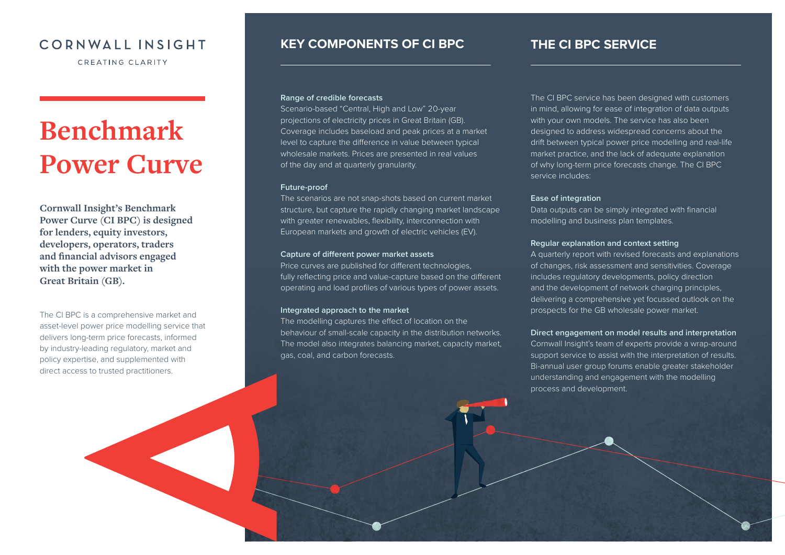## CORNWALL INSIGHT

CREATING CLARITY

# **Benchmark Power Curve**

**Cornwall Insight's Benchmark Power Curve (CI BPC) is designed for lenders, equity investors, developers, operators, traders and financial advisors engaged with the power market in Great Britain (GB).** 

The CI BPC is a comprehensive market and asset-level power price modelling service that delivers long-term price forecasts, informed by industry-leading regulatory, market and policy expertise, and supplemented with direct access to trusted practitioners.

## **KEY COMPONENTS OF CI BPC THE CI BPC SERVICE**

## **Range of credible forecasts**

Scenario-based "Central, High and Low" 20-year projections of electricity prices in Great Britain (GB). Coverage includes baseload and peak prices at a market level to capture the difference in value between typical wholesale markets. Prices are presented in real values of the day and at quarterly granularity.

### **Future-proof**

The scenarios are not snap-shots based on current market structure, but capture the rapidly changing market landscape with greater renewables, flexibility, interconnection with European markets and growth of electric vehicles (EV).

## **Capture of different power market assets**

Price curves are published for different technologies, fully reflecting price and value-capture based on the different operating and load profiles of various types of power assets.

## **Integrated approach to the market**

The modelling captures the effect of location on the behaviour of small-scale capacity in the distribution networks. The model also integrates balancing market, capacity market, gas, coal, and carbon forecasts.

The CI BPC service has been designed with customers in mind, allowing for ease of integration of data outputs with your own models. The service has also been designed to address widespread concerns about the drift between typical power price modelling and real-life market practice, and the lack of adequate explanation of why long-term price forecasts change. The CI BPC service includes:

### **Ease of integration**

Data outputs can be simply integrated with financial modelling and business plan templates.

### **Regular explanation and context setting**

A quarterly report with revised forecasts and explanations of changes, risk assessment and sensitivities. Coverage includes regulatory developments, policy direction and the development of network charging principles, delivering a comprehensive yet focussed outlook on the prospects for the GB wholesale power market.

## **Direct engagement on model results and interpretation**

Cornwall Insight's team of experts provide a wrap-around support service to assist with the interpretation of results. Bi-annual user group forums enable greater stakeholder understanding and engagement with the modelling process and development.